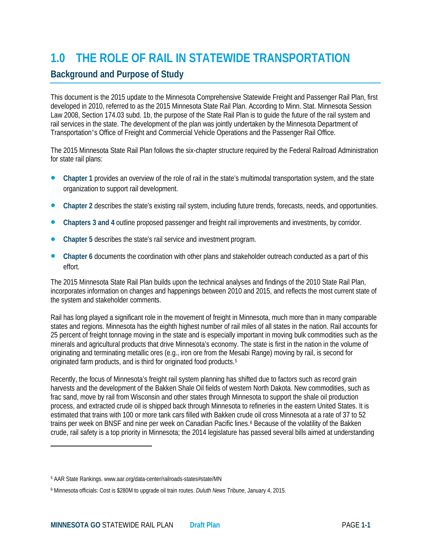# **1.0 THE ROLE OF RAIL IN STATEWIDE TRANSPORTATION**

# **Background and Purpose of Study**

This document is the 2015 update to the Minnesota Comprehensive Statewide Freight and Passenger Rail Plan, first developed in 2010, referred to as the 2015 Minnesota State Rail Plan. According to Minn. Stat. Minnesota Session Law 2008, Section 174.03 subd. 1b, the purpose of the State Rail Plan is to guide the future of the rail system and rail services in the state. The development of the plan was jointly undertaken by the Minnesota Department of Transportation's Office of Freight and Commercial Vehicle Operations and the Passenger Rail Office.

The 2015 Minnesota State Rail Plan follows the six-chapter structure required by the Federal Railroad Administration for state rail plans:

- **Chapter 1** provides an overview of the role of rail in the state's multimodal transportation system, and the state organization to support rail development.
- **Chapter 2** describes the state's existing rail system, including future trends, forecasts, needs, and opportunities.
- **Chapters 3 and 4** outline proposed passenger and freight rail improvements and investments, by corridor.
- **Chapter 5** describes the state's rail service and investment program.
- **Chapter 6** documents the coordination with other plans and stakeholder outreach conducted as a part of this effort.

The 2015 Minnesota State Rail Plan builds upon the technical analyses and findings of the 2010 State Rail Plan, incorporates information on changes and happenings between 2010 and 2015, and reflects the most current state of the system and stakeholder comments.

Rail has long played a significant role in the movement of freight in Minnesota, much more than in many comparable states and regions. Minnesota has the eighth highest number of rail miles of all states in the nation. Rail accounts for 25 percent of freight tonnage moving in the state and is especially important in moving bulk commodities such as the minerals and agricultural products that drive Minnesota's economy. The state is first in the nation in the volume of originating and terminating metallic ores (e.g., iron ore from the Mesabi Range) moving by rail, is second for originated farm products, and is third for originated food products.[5](#page-0-0)

Recently, the focus of Minnesota's freight rail system planning has shifted due to factors such as record grain harvests and the development of the Bakken Shale Oil fields of western North Dakota. New commodities, such as frac sand, move by rail from Wisconsin and other states through Minnesota to support the shale oil production process, and extracted crude oil is shipped back through Minnesota to refineries in the eastern United States. It is estimated that trains with 100 or more tank cars filled with Bakken crude oil cross Minnesota at a rate of 37 to 52 trains per week on BNSF and nine per week on Canadian Pacific lines. [6](#page-0-1) Because of the volatility of the Bakken crude, rail safety is a top priority in Minnesota; the 2014 legislature has passed several bills aimed at understanding

 $\overline{\phantom{a}}$ 

<span id="page-0-0"></span><sup>5</sup> AAR State Rankings. www.aar.org/data-center/railroads-states#state/MN

<span id="page-0-1"></span><sup>6</sup> Minnesota officials: Cost is \$280M to upgrade oil train routes. *Duluth News Tribune*, January 4, 2015.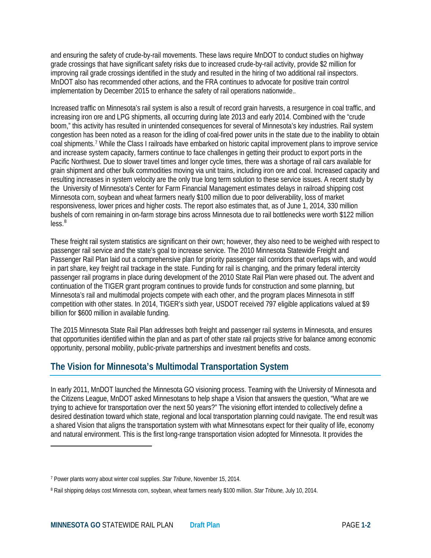and ensuring the safety of crude-by-rail movements. These laws require MnDOT to conduct studies on highway grade crossings that have significant safety risks due to increased crude-by-rail activity, provide \$2 million for improving rail grade crossings identified in the study and resulted in the hiring of two additional rail inspectors. MnDOT also has recommended other actions, and the FRA continues to advocate for positive train control implementation by December 2015 to enhance the safety of rail operations nationwide..

Increased traffic on Minnesota's rail system is also a result of record grain harvests, a resurgence in coal traffic, and increasing iron ore and LPG shipments, all occurring during late 2013 and early 2014. Combined with the "crude boom," this activity has resulted in unintended consequences for several of Minnesota's key industries. Rail system congestion has been noted as a reason for the idling of coal-fired power units in the state due to the inability to obtain coal shipments. [7](#page-1-0) While the Class I railroads have embarked on historic capital improvement plans to improve service and increase system capacity, farmers continue to face challenges in getting their product to export ports in the Pacific Northwest. Due to slower travel times and longer cycle times, there was a shortage of rail cars available for grain shipment and other bulk commodities moving via unit trains, including iron ore and coal. Increased capacity and resulting increases in system velocity are the only true long term solution to these service issues. A recent study by the University of Minnesota's Center for Farm Financial Management estimates delays in railroad shipping cost Minnesota corn, soybean and wheat farmers nearly \$100 million due to poor deliverability, loss of market responsiveness, lower prices and higher costs. The report also estimates that, as of June 1, 2014, 330 million bushels of corn remaining in on-farm storage bins across Minnesota due to rail bottlenecks were worth \$122 million less. [8](#page-1-1)

These freight rail system statistics are significant on their own; however, they also need to be weighed with respect to passenger rail service and the state's goal to increase service. The 2010 Minnesota Statewide Freight and Passenger Rail Plan laid out a comprehensive plan for priority passenger rail corridors that overlaps with, and would in part share, key freight rail trackage in the state. Funding for rail is changing, and the primary federal intercity passenger rail programs in place during development of the 2010 State Rail Plan were phased out. The advent and continuation of the TIGER grant program continues to provide funds for construction and some planning, but Minnesota's rail and multimodal projects compete with each other, and the program places Minnesota in stiff competition with other states. In 2014, TIGER's sixth year, USDOT received 797 eligible applications valued at \$9 billion for \$600 million in available funding.

The 2015 Minnesota State Rail Plan addresses both freight and passenger rail systems in Minnesota, and ensures that opportunities identified within the plan and as part of other state rail projects strive for balance among economic opportunity, personal mobility, public-private partnerships and investment benefits and costs.

# **The Vision for Minnesota's Multimodal Transportation System**

In early 2011, MnDOT launched the Minnesota GO visioning process. Teaming with the University of Minnesota and the Citizens League, MnDOT asked Minnesotans to help shape a Vision that answers the question, "What are we trying to achieve for transportation over the next 50 years?" The visioning effort intended to collectively define a desired destination toward which state, regional and local transportation planning could navigate. The end result was a shared Vision that aligns the transportation system with what Minnesotans expect for their quality of life, economy and natural environment. This is the first long-range transportation vision adopted for Minnesota. It provides the

 $\overline{\phantom{a}}$ 

<span id="page-1-0"></span><sup>7</sup> Power plants worry about winter coal supplies. *Star Tribune*, November 15, 2014.

<span id="page-1-1"></span><sup>8</sup> Rail shipping delays cost Minnesota corn, soybean, wheat farmers nearly \$100 million. *Star Tribune,* July 10, 2014.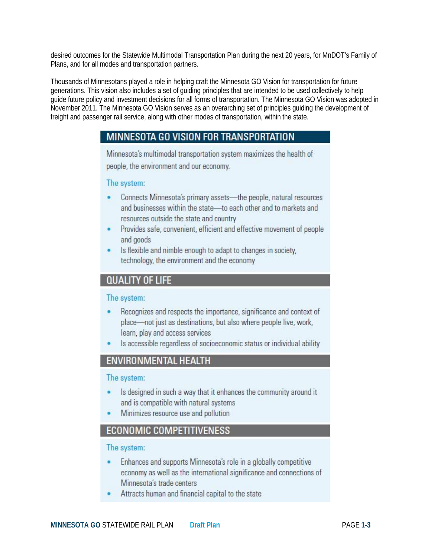desired outcomes for the Statewide Multimodal Transportation Plan during the next 20 years, for MnDOT's Family of Plans, and for all modes and transportation partners.

Thousands of Minnesotans played a role in helping craft the Minnesota GO Vision for transportation for future generations. This vision also includes a set of guiding principles that are intended to be used collectively to help guide future policy and investment decisions for all forms of transportation. The Minnesota GO Vision was adopted in November 2011. The Minnesota GO Vision serves as an overarching set of principles guiding the development of freight and passenger rail service, along with other modes of transportation, within the state.

# MINNESOTA GO VISION FOR TRANSPORTATION

Minnesota's multimodal transportation system maximizes the health of people, the environment and our economy.

#### The system:

- Connects Minnesota's primary assets-the people, natural resources and businesses within the state-to each other and to markets and resources outside the state and country
- Provides safe, convenient, efficient and effective movement of people and goods
- Is flexible and nimble enough to adapt to changes in society, technology, the environment and the economy

# **QUALITY OF LIFE**

### The system:

- Recognizes and respects the importance, significance and context of place-not just as destinations, but also where people live, work, learn, play and access services
- Is accessible regardless of socioeconomic status or individual ability

# **ENVIRONMENTAL HEALTH**

### The system:

- Is designed in such a way that it enhances the community around it and is compatible with natural systems
- Minimizes resource use and pollution

# **ECONOMIC COMPETITIVENESS**

### The system:

- Enhances and supports Minnesota's role in a globally competitive economy as well as the international significance and connections of Minnesota's trade centers
- Attracts human and financial capital to the state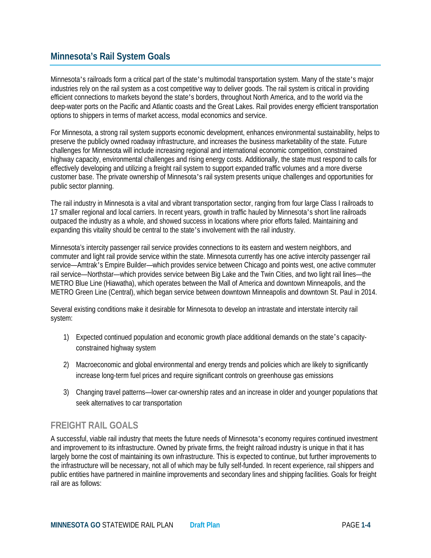# **Minnesota's Rail System Goals**

Minnesota's railroads form a critical part of the state's multimodal transportation system. Many of the state's major industries rely on the rail system as a cost competitive way to deliver goods. The rail system is critical in providing efficient connections to markets beyond the state's borders, throughout North America, and to the world via the deep-water ports on the Pacific and Atlantic coasts and the Great Lakes. Rail provides energy efficient transportation options to shippers in terms of market access, modal economics and service.

For Minnesota, a strong rail system supports economic development, enhances environmental sustainability, helps to preserve the publicly owned roadway infrastructure, and increases the business marketability of the state. Future challenges for Minnesota will include increasing regional and international economic competition, constrained highway capacity, environmental challenges and rising energy costs. Additionally, the state must respond to calls for effectively developing and utilizing a freight rail system to support expanded traffic volumes and a more diverse customer base. The private ownership of Minnesota's rail system presents unique challenges and opportunities for public sector planning.

The rail industry in Minnesota is a vital and vibrant transportation sector, ranging from four large Class I railroads to 17 smaller regional and local carriers. In recent years, growth in traffic hauled by Minnesota's short line railroads outpaced the industry as a whole, and showed success in locations where prior efforts failed. Maintaining and expanding this vitality should be central to the state's involvement with the rail industry.

Minnesota's intercity passenger rail service provides connections to its eastern and western neighbors, and commuter and light rail provide service within the state. Minnesota currently has one active intercity passenger rail service—Amtrak's Empire Builder—which provides service between Chicago and points west, one active commuter rail service—Northstar—which provides service between Big Lake and the Twin Cities, and two light rail lines—the METRO Blue Line (Hiawatha), which operates between the Mall of America and downtown Minneapolis, and the METRO Green Line (Central), which began service between downtown Minneapolis and downtown St. Paul in 2014.

Several existing conditions make it desirable for Minnesota to develop an intrastate and interstate intercity rail system:

- 1) Expected continued population and economic growth place additional demands on the state's capacityconstrained highway system
- 2) Macroeconomic and global environmental and energy trends and policies which are likely to significantly increase long-term fuel prices and require significant controls on greenhouse gas emissions
- 3) Changing travel patterns—lower car-ownership rates and an increase in older and younger populations that seek alternatives to car transportation

# **FREIGHT RAIL GOALS**

A successful, viable rail industry that meets the future needs of Minnesota's economy requires continued investment and improvement to its infrastructure. Owned by private firms, the freight railroad industry is unique in that it has largely borne the cost of maintaining its own infrastructure. This is expected to continue, but further improvements to the infrastructure will be necessary, not all of which may be fully self-funded. In recent experience, rail shippers and public entities have partnered in mainline improvements and secondary lines and shipping facilities. Goals for freight rail are as follows: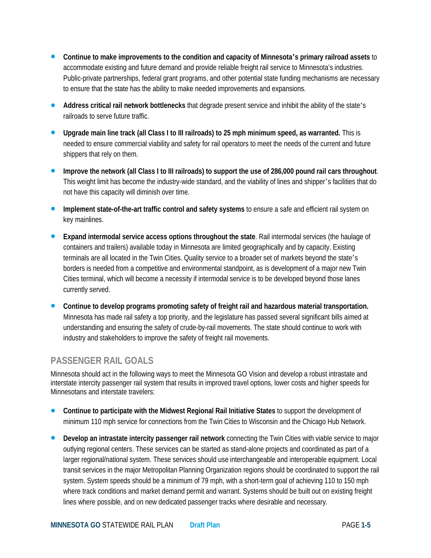- **Continue to make improvements to the condition and capacity of Minnesota's primary railroad assets** to accommodate existing and future demand and provide reliable freight rail service to Minnesota's industries. Public-private partnerships, federal grant programs, and other potential state funding mechanisms are necessary to ensure that the state has the ability to make needed improvements and expansions.
- **Address critical rail network bottlenecks** that degrade present service and inhibit the ability of the state's railroads to serve future traffic.
- **Upgrade main line track (all Class I to III railroads) to 25 mph minimum speed, as warranted.** This is needed to ensure commercial viability and safety for rail operators to meet the needs of the current and future shippers that rely on them.
- **Improve the network (all Class I to III railroads) to support the use of 286,000 pound rail cars throughout**. This weight limit has become the industry-wide standard, and the viability of lines and shipper's facilities that do not have this capacity will diminish over time.
- **Implement state-of-the-art traffic control and safety systems** to ensure a safe and efficient rail system on key mainlines.
- **Expand intermodal service access options throughout the state**. Rail intermodal services (the haulage of containers and trailers) available today in Minnesota are limited geographically and by capacity. Existing terminals are all located in the Twin Cities. Quality service to a broader set of markets beyond the state's borders is needed from a competitive and environmental standpoint, as is development of a major new Twin Cities terminal, which will become a necessity if intermodal service is to be developed beyond those lanes currently served.
- **Continue to develop programs promoting safety of freight rail and hazardous material transportation.**  Minnesota has made rail safety a top priority, and the legislature has passed several significant bills aimed at understanding and ensuring the safety of crude-by-rail movements. The state should continue to work with industry and stakeholders to improve the safety of freight rail movements.

# **PASSENGER RAIL GOALS**

Minnesota should act in the following ways to meet the Minnesota GO Vision and develop a robust intrastate and interstate intercity passenger rail system that results in improved travel options, lower costs and higher speeds for Minnesotans and interstate travelers:

- **Continue to participate with the Midwest Regional Rail Initiative States** to support the development of minimum 110 mph service for connections from the Twin Cities to Wisconsin and the Chicago Hub Network.
- **Develop an intrastate intercity passenger rail network** connecting the Twin Cities with viable service to major outlying regional centers. These services can be started as stand-alone projects and coordinated as part of a larger regional/national system. These services should use interchangeable and interoperable equipment. Local transit services in the major Metropolitan Planning Organization regions should be coordinated to support the rail system. System speeds should be a minimum of 79 mph, with a short-term goal of achieving 110 to 150 mph where track conditions and market demand permit and warrant. Systems should be built out on existing freight lines where possible, and on new dedicated passenger tracks where desirable and necessary.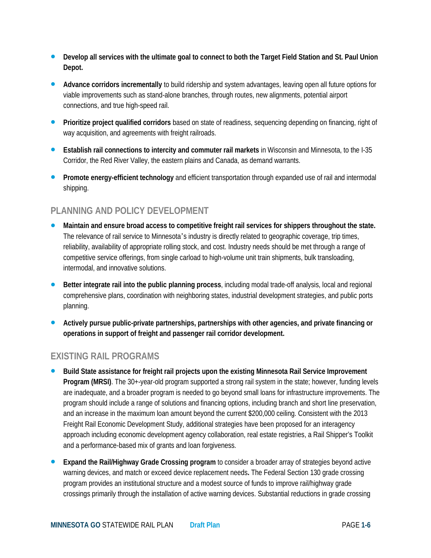- **•** Develop all services with the ultimate goal to connect to both the Target Field Station and St. Paul Union **Depot.**
- **Advance corridors incrementally** to build ridership and system advantages, leaving open all future options for viable improvements such as stand-alone branches, through routes, new alignments, potential airport connections, and true high-speed rail.
- **Prioritize project qualified corridors** based on state of readiness, sequencing depending on financing, right of way acquisition, and agreements with freight railroads.
- **Establish rail connections to intercity and commuter rail markets in Wisconsin and Minnesota, to the I-35** Corridor, the Red River Valley, the eastern plains and Canada, as demand warrants.
- **Promote energy-efficient technology** and efficient transportation through expanded use of rail and intermodal shipping.

# **PLANNING AND POLICY DEVELOPMENT**

- **Maintain and ensure broad access to competitive freight rail services for shippers throughout the state.** The relevance of rail service to Minnesota's industry is directly related to geographic coverage, trip times, reliability, availability of appropriate rolling stock, and cost. Industry needs should be met through a range of competitive service offerings, from single carload to high-volume unit train shipments, bulk transloading, intermodal, and innovative solutions.
- **Better integrate rail into the public planning process**, including modal trade-off analysis, local and regional comprehensive plans, coordination with neighboring states, industrial development strategies, and public ports planning.
- **Actively pursue public-private partnerships, partnerships with other agencies, and private financing or operations in support of freight and passenger rail corridor development.**

# **EXISTING RAIL PROGRAMS**

- **Build State assistance for freight rail projects upon the existing Minnesota Rail Service Improvement Program (MRSI)**. The 30+-year-old program supported a strong rail system in the state; however, funding levels are inadequate, and a broader program is needed to go beyond small loans for infrastructure improvements. The program should include a range of solutions and financing options, including branch and short line preservation, and an increase in the maximum loan amount beyond the current \$200,000 ceiling. Consistent with the 2013 Freight Rail Economic Development Study, additional strategies have been proposed for an interagency approach including economic development agency collaboration, real estate registries, a Rail Shipper's Toolkit and a performance-based mix of grants and loan forgiveness.
- **Expand the Rail/Highway Grade Crossing program** to consider a broader array of strategies beyond active warning devices, and match or exceed device replacement needs**.** The Federal Section 130 grade crossing program provides an institutional structure and a modest source of funds to improve rail/highway grade crossings primarily through the installation of active warning devices. Substantial reductions in grade crossing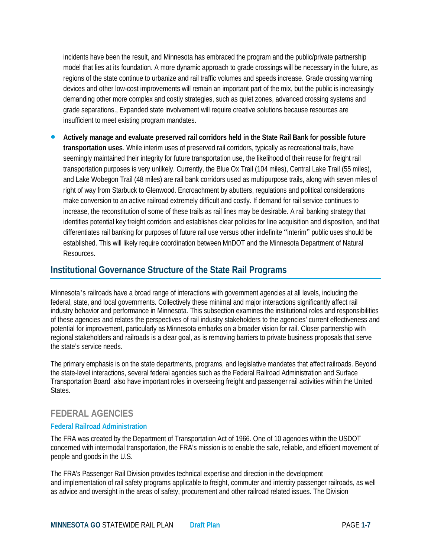incidents have been the result, and Minnesota has embraced the program and the public/private partnership model that lies at its foundation. A more dynamic approach to grade crossings will be necessary in the future, as regions of the state continue to urbanize and rail traffic volumes and speeds increase. Grade crossing warning devices and other low-cost improvements will remain an important part of the mix, but the public is increasingly demanding other more complex and costly strategies, such as quiet zones, advanced crossing systems and grade separations., Expanded state involvement will require creative solutions because resources are insufficient to meet existing program mandates.

 **Actively manage and evaluate preserved rail corridors held in the State Rail Bank for possible future transportation uses**. While interim uses of preserved rail corridors, typically as recreational trails, have seemingly maintained their integrity for future transportation use, the likelihood of their reuse for freight rail transportation purposes is very unlikely. Currently, the Blue Ox Trail (104 miles), Central Lake Trail (55 miles), and Lake Wobegon Trail (48 miles) are rail bank corridors used as multipurpose trails, along with seven miles of right of way from Starbuck to Glenwood. Encroachment by abutters, regulations and political considerations make conversion to an active railroad extremely difficult and costly. If demand for rail service continues to increase, the reconstitution of some of these trails as rail lines may be desirable. A rail banking strategy that identifies potential key freight corridors and establishes clear policies for line acquisition and disposition, and that differentiates rail banking for purposes of future rail use versus other indefinite "interim" public uses should be established. This will likely require coordination between MnDOT and the Minnesota Department of Natural Resources.

### **Institutional Governance Structure of the State Rail Programs**

Minnesota's railroads have a broad range of interactions with government agencies at all levels, including the federal, state, and local governments. Collectively these minimal and major interactions significantly affect rail industry behavior and performance in Minnesota. This subsection examines the institutional roles and responsibilities of these agencies and relates the perspectives of rail industry stakeholders to the agencies' current effectiveness and potential for improvement, particularly as Minnesota embarks on a broader vision for rail. Closer partnership with regional stakeholders and railroads is a clear goal, as is removing barriers to private business proposals that serve the state's service needs.

The primary emphasis is on the state departments, programs, and legislative mandates that affect railroads. Beyond the state-level interactions, several federal agencies such as the Federal Railroad Administration and Surface Transportation Board also have important roles in overseeing freight and passenger rail activities within the United States.

### **FEDERAL AGENCIES**

#### **Federal Railroad Administration**

The FRA was created by the Department of Transportation Act of 1966. One of 10 agencies within the USDOT concerned with intermodal transportation, the FRA's mission is to enable the safe, reliable, and efficient movement of people and goods in the U.S.

The FRA's Passenger Rail Division provides technical expertise and direction in the development and implementation of rail safety programs applicable to freight, commuter and intercity passenger railroads, as well as advice and oversight in the areas of safety, procurement and other railroad related issues. The Division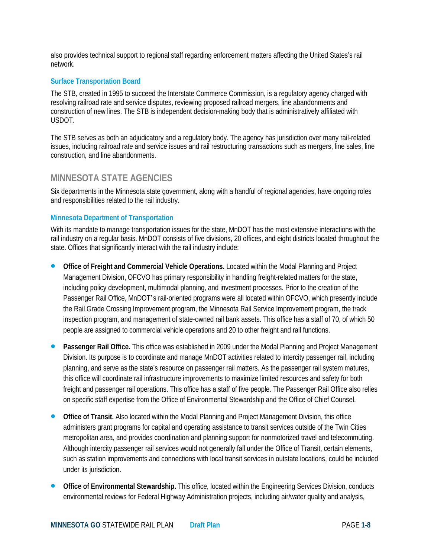also provides technical support to regional staff regarding enforcement matters affecting the United States's rail network.

#### **Surface Transportation Board**

The STB, created in 1995 to succeed the Interstate Commerce Commission, is a regulatory agency charged with resolving railroad rate and service disputes, reviewing proposed railroad mergers, line abandonments and construction of new lines. The STB is independent decision-making body that is administratively affiliated with USDOT.

The STB serves as both an adjudicatory and a regulatory body. The agency has jurisdiction over many rail-related issues, including railroad rate and service issues and rail restructuring transactions such as mergers, line sales, line construction, and line abandonments.

### **MINNESOTA STATE AGENCIES**

Six departments in the Minnesota state government, along with a handful of regional agencies, have ongoing roles and responsibilities related to the rail industry.

#### **Minnesota Department of Transportation**

With its mandate to manage transportation issues for the state, MnDOT has the most extensive interactions with the rail industry on a regular basis. MnDOT consists of five divisions, 20 offices, and eight districts located throughout the state. Offices that significantly interact with the rail industry include:

- **Office of Freight and Commercial Vehicle Operations.** Located within the Modal Planning and Project Management Division, OFCVO has primary responsibility in handling freight-related matters for the state, including policy development, multimodal planning, and investment processes. Prior to the creation of the Passenger Rail Office, MnDOT's rail-oriented programs were all located within OFCVO, which presently include the Rail Grade Crossing Improvement program, the Minnesota Rail Service Improvement program, the track inspection program, and management of state-owned rail bank assets. This office has a staff of 70, of which 50 people are assigned to commercial vehicle operations and 20 to other freight and rail functions.
- **Passenger Rail Office.** This office was established in 2009 under the Modal Planning and Project Management Division. Its purpose is to coordinate and manage MnDOT activities related to intercity passenger rail, including planning, and serve as the state's resource on passenger rail matters. As the passenger rail system matures, this office will coordinate rail infrastructure improvements to maximize limited resources and safety for both freight and passenger rail operations. This office has a staff of five people. The Passenger Rail Office also relies on specific staff expertise from the Office of Environmental Stewardship and the Office of Chief Counsel.
- **Office of Transit.** Also located within the Modal Planning and Project Management Division, this office administers grant programs for capital and operating assistance to transit services outside of the Twin Cities metropolitan area, and provides coordination and planning support for nonmotorized travel and telecommuting. Although intercity passenger rail services would not generally fall under the Office of Transit, certain elements, such as station improvements and connections with local transit services in outstate locations, could be included under its jurisdiction.
- **Office of Environmental Stewardship.** This office, located within the Engineering Services Division, conducts environmental reviews for Federal Highway Administration projects, including air/water quality and analysis,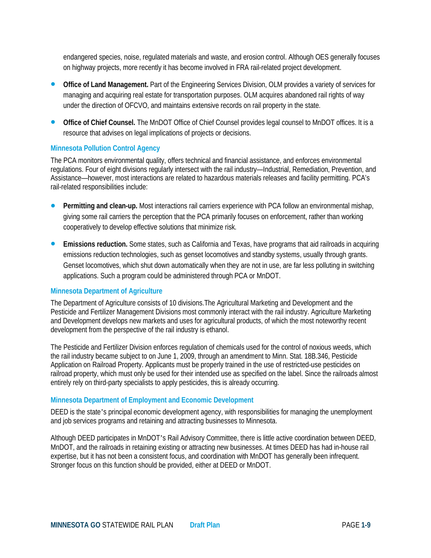endangered species, noise, regulated materials and waste, and erosion control. Although OES generally focuses on highway projects, more recently it has become involved in FRA rail-related project development.

- **Office of Land Management.** Part of the Engineering Services Division, OLM provides a variety of services for managing and acquiring real estate for transportation purposes. OLM acquires abandoned rail rights of way under the direction of OFCVO, and maintains extensive records on rail property in the state.
- **Office of Chief Counsel.** The MnDOT Office of Chief Counsel provides legal counsel to MnDOT offices. It is a resource that advises on legal implications of projects or decisions.

#### **Minnesota Pollution Control Agency**

The PCA monitors environmental quality, offers technical and financial assistance, and enforces environmental regulations. Four of eight divisions regularly intersect with the rail industry—Industrial, Remediation, Prevention, and Assistance—however, most interactions are related to hazardous materials releases and facility permitting. PCA's rail-related responsibilities include:

- **Permitting and clean-up.** Most interactions rail carriers experience with PCA follow an environmental mishap, giving some rail carriers the perception that the PCA primarily focuses on enforcement, rather than working cooperatively to develop effective solutions that minimize risk.
- **Emissions reduction.** Some states, such as California and Texas, have programs that aid railroads in acquiring emissions reduction technologies, such as genset locomotives and standby systems, usually through grants. Genset locomotives, which shut down automatically when they are not in use, are far less polluting in switching applications. Such a program could be administered through PCA or MnDOT.

#### **Minnesota Department of Agriculture**

The Department of Agriculture consists of 10 divisions.The Agricultural Marketing and Development and the Pesticide and Fertilizer Management Divisions most commonly interact with the rail industry. Agriculture Marketing and Development develops new markets and uses for agricultural products, of which the most noteworthy recent development from the perspective of the rail industry is ethanol.

The Pesticide and Fertilizer Division enforces regulation of chemicals used for the control of noxious weeds, which the rail industry became subject to on June 1, 2009, through an amendment to Minn. Stat. 18B.346, Pesticide Application on Railroad Property. Applicants must be properly trained in the use of restricted-use pesticides on railroad property, which must only be used for their intended use as specified on the label. Since the railroads almost entirely rely on third-party specialists to apply pesticides, this is already occurring.

#### **Minnesota Department of Employment and Economic Development**

DEED is the state's principal economic development agency, with responsibilities for managing the unemployment and job services programs and retaining and attracting businesses to Minnesota.

Although DEED participates in MnDOT's Rail Advisory Committee, there is little active coordination between DEED, MnDOT, and the railroads in retaining existing or attracting new businesses. At times DEED has had in-house rail expertise, but it has not been a consistent focus, and coordination with MnDOT has generally been infrequent. Stronger focus on this function should be provided, either at DEED or MnDOT.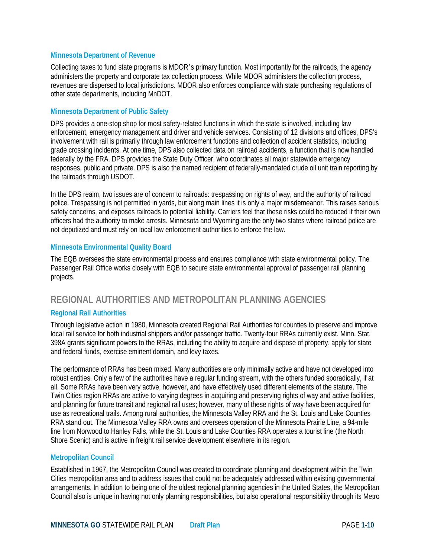#### **Minnesota Department of Revenue**

Collecting taxes to fund state programs is MDOR's primary function. Most importantly for the railroads, the agency administers the property and corporate tax collection process. While MDOR administers the collection process, revenues are dispersed to local jurisdictions. MDOR also enforces compliance with state purchasing regulations of other state departments, including MnDOT.

#### **Minnesota Department of Public Safety**

DPS provides a one-stop shop for most safety-related functions in which the state is involved, including law enforcement, emergency management and driver and vehicle services. Consisting of 12 divisions and offices, DPS's involvement with rail is primarily through law enforcement functions and collection of accident statistics, including grade crossing incidents. At one time, DPS also collected data on railroad accidents, a function that is now handled federally by the FRA. DPS provides the State Duty Officer, who coordinates all major statewide emergency responses, public and private. DPS is also the named recipient of federally-mandated crude oil unit train reporting by the railroads through USDOT.

In the DPS realm, two issues are of concern to railroads: trespassing on rights of way, and the authority of railroad police. Trespassing is not permitted in yards, but along main lines it is only a major misdemeanor. This raises serious safety concerns, and exposes railroads to potential liability. Carriers feel that these risks could be reduced if their own officers had the authority to make arrests. Minnesota and Wyoming are the only two states where railroad police are not deputized and must rely on local law enforcement authorities to enforce the law.

#### **Minnesota Environmental Quality Board**

The EQB oversees the state environmental process and ensures compliance with state environmental policy. The Passenger Rail Office works closely with EQB to secure state environmental approval of passenger rail planning projects.

### **REGIONAL AUTHORITIES AND METROPOLITAN PLANNING AGENCIES**

#### **Regional Rail Authorities**

Through legislative action in 1980, Minnesota created Regional Rail Authorities for counties to preserve and improve local rail service for both industrial shippers and/or passenger traffic. Twenty-four RRAs currently exist. Minn. Stat. 398A grants significant powers to the RRAs, including the ability to acquire and dispose of property, apply for state and federal funds, exercise eminent domain, and levy taxes.

The performance of RRAs has been mixed. Many authorities are only minimally active and have not developed into robust entities. Only a few of the authorities have a regular funding stream, with the others funded sporadically, if at all. Some RRAs have been very active, however, and have effectively used different elements of the statute. The Twin Cities region RRAs are active to varying degrees in acquiring and preserving rights of way and active facilities, and planning for future transit and regional rail uses; however, many of these rights of way have been acquired for use as recreational trails. Among rural authorities, the Minnesota Valley RRA and the St. Louis and Lake Counties RRA stand out. The Minnesota Valley RRA owns and oversees operation of the Minnesota Prairie Line, a 94-mile line from Norwood to Hanley Falls, while the St. Louis and Lake Counties RRA operates a tourist line (the North Shore Scenic) and is active in freight rail service development elsewhere in its region.

#### **Metropolitan Council**

Established in 1967, the Metropolitan Council was created to coordinate planning and development within the Twin Cities metropolitan area and to address issues that could not be adequately addressed within existing governmental arrangements. In addition to being one of the oldest regional planning agencies in the United States, the Metropolitan Council also is unique in having not only planning responsibilities, but also operational responsibility through its Metro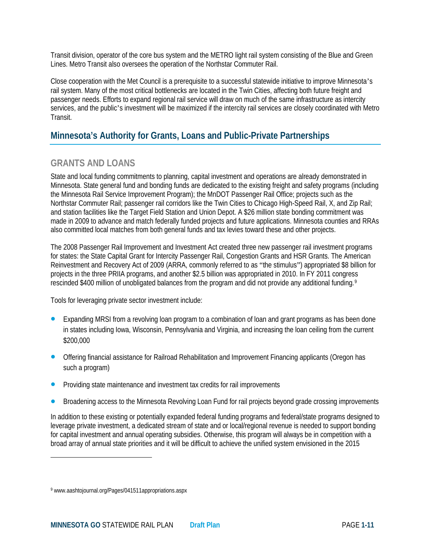Transit division, operator of the core bus system and the METRO light rail system consisting of the Blue and Green Lines. Metro Transit also oversees the operation of the Northstar Commuter Rail.

Close cooperation with the Met Council is a prerequisite to a successful statewide initiative to improve Minnesota's rail system. Many of the most critical bottlenecks are located in the Twin Cities, affecting both future freight and passenger needs. Efforts to expand regional rail service will draw on much of the same infrastructure as intercity services, and the public's investment will be maximized if the intercity rail services are closely coordinated with Metro Transit.

### **Minnesota's Authority for Grants, Loans and Public-Private Partnerships**

# **GRANTS AND LOANS**

State and local funding commitments to planning, capital investment and operations are already demonstrated in Minnesota. State general fund and bonding funds are dedicated to the existing freight and safety programs (including the Minnesota Rail Service Improvement Program); the MnDOT Passenger Rail Office; projects such as the Northstar Commuter Rail; passenger rail corridors like the Twin Cities to Chicago High-Speed Rail, X, and Zip Rail; and station facilities like the Target Field Station and Union Depot. A \$26 million state bonding commitment was made in 2009 to advance and match federally funded projects and future applications. Minnesota counties and RRAs also committed local matches from both general funds and tax levies toward these and other projects.

The 2008 Passenger Rail Improvement and Investment Act created three new passenger rail investment programs for states: the State Capital Grant for Intercity Passenger Rail, Congestion Grants and HSR Grants. The American Reinvestment and Recovery Act of 2009 (ARRA, commonly referred to as "the stimulus") appropriated \$8 billion for projects in the three PRIIA programs, and another \$2.5 billion was appropriated in 2010. In FY 2011 congress rescinded \$400 million of unobligated balances from the program and did not provide any additional funding.<sup>[9](#page-10-0)</sup>

Tools for leveraging private sector investment include:

- Expanding MRSI from a revolving loan program to a combination of loan and grant programs as has been done in states including Iowa, Wisconsin, Pennsylvania and Virginia, and increasing the loan ceiling from the current \$200,000
- Offering financial assistance for Railroad Rehabilitation and Improvement Financing applicants (Oregon has such a program)
- Providing state maintenance and investment tax credits for rail improvements
- Broadening access to the Minnesota Revolving Loan Fund for rail projects beyond grade crossing improvements

In addition to these existing or potentially expanded federal funding programs and federal/state programs designed to leverage private investment, a dedicated stream of state and or local/regional revenue is needed to support bonding for capital investment and annual operating subsidies. Otherwise, this program will always be in competition with a broad array of annual state priorities and it will be difficult to achieve the unified system envisioned in the 2015

l

<span id="page-10-0"></span><sup>9</sup> www.aashtojournal.org/Pages/041511appropriations.aspx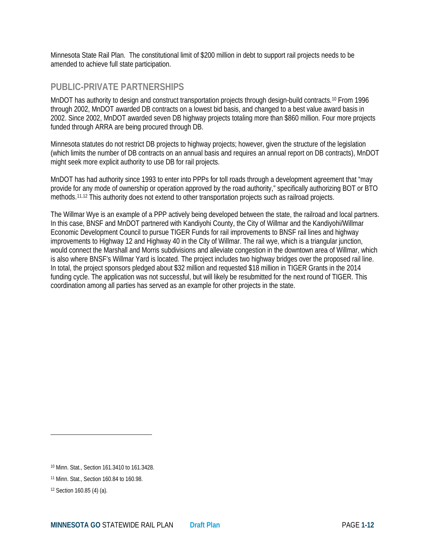Minnesota State Rail Plan. The constitutional limit of \$200 million in debt to support rail projects needs to be amended to achieve full state participation.

### **PUBLIC-PRIVATE PARTNERSHIPS**

MnDOT has authority to design and construct transportation projects through design-build contracts.<sup>[10](#page-11-0)</sup> From 1996 through 2002, MnDOT awarded DB contracts on a lowest bid basis, and changed to a best value award basis in 2002. Since 2002, MnDOT awarded seven DB highway projects totaling more than \$860 million. Four more projects funded through ARRA are being procured through DB.

Minnesota statutes do not restrict DB projects to highway projects; however, given the structure of the legislation (which limits the number of DB contracts on an annual basis and requires an annual report on DB contracts), MnDOT might seek more explicit authority to use DB for rail projects.

MnDOT has had authority since 1993 to enter into PPPs for toll roads through a development agreement that "may provide for any mode of ownership or operation approved by the road authority," specifically authorizing BOT or BTO methods.[11,](#page-11-1)[12](#page-11-2) This authority does not extend to other transportation projects such as railroad projects.

The Willmar Wye is an example of a PPP actively being developed between the state, the railroad and local partners. In this case, BNSF and MnDOT partnered with Kandiyohi County, the City of Willmar and the Kandiyohi/Willmar Economic Development Council to pursue TIGER Funds for rail improvements to BNSF rail lines and highway improvements to Highway 12 and Highway 40 in the City of Willmar. The rail wye, which is a triangular junction, would connect the Marshall and Morris subdivisions and alleviate congestion in the downtown area of Willmar, which is also where BNSF's Willmar Yard is located. The project includes two highway bridges over the proposed rail line. In total, the project sponsors pledged about \$32 million and requested \$18 million in TIGER Grants in the 2014 funding cycle. The application was not successful, but will likely be resubmitted for the next round of TIGER. This coordination among all parties has served as an example for other projects in the state.

l

<span id="page-11-0"></span><sup>10</sup> Minn. Stat., Section 161.3410 to 161.3428.

<span id="page-11-1"></span><sup>11</sup> Minn. Stat., Section 160.84 to 160.98.

<span id="page-11-2"></span><sup>12</sup> Section 160.85 (4) (a).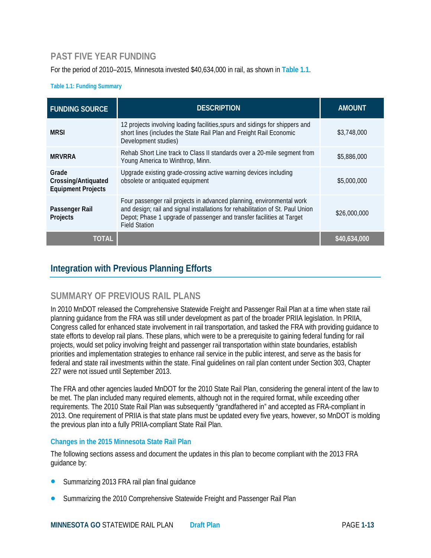# **PAST FIVE YEAR FUNDING**

For the period of 2010–2015, Minnesota invested \$40,634,000 in rail, as shown in **Table 1.1**.

#### **Table 1.1: Funding Summary**

| <b>FUNDING SOURCE</b>                                            | <b>DESCRIPTION</b>                                                                                                                                                                                                                                       | <b>AMOUNT</b> |  |  |
|------------------------------------------------------------------|----------------------------------------------------------------------------------------------------------------------------------------------------------------------------------------------------------------------------------------------------------|---------------|--|--|
| <b>MRSI</b>                                                      | 12 projects involving loading facilities, spurs and sidings for shippers and<br>short lines (includes the State Rail Plan and Freight Rail Economic<br>Development studies)                                                                              | \$3,748,000   |  |  |
| <b>MRVRRA</b>                                                    | Rehab Short Line track to Class II standards over a 20-mile segment from<br>Young America to Winthrop, Minn.                                                                                                                                             | \$5,886,000   |  |  |
| Grade<br><b>Crossing/Antiquated</b><br><b>Equipment Projects</b> | Upgrade existing grade-crossing active warning devices including<br>obsolete or antiquated equipment                                                                                                                                                     | \$5,000,000   |  |  |
| Passenger Rail<br>Projects                                       | Four passenger rail projects in advanced planning, environmental work<br>and design; rail and signal installations for rehabilitation of St. Paul Union<br>Depot; Phase 1 upgrade of passenger and transfer facilities at Target<br><b>Field Station</b> | \$26,000,000  |  |  |
| $\overline{\text{LO}}$ at                                        |                                                                                                                                                                                                                                                          |               |  |  |

# **Integration with Previous Planning Efforts**

### **SUMMARY OF PREVIOUS RAIL PLANS**

In 2010 MnDOT released the Comprehensive Statewide Freight and Passenger Rail Plan at a time when state rail planning guidance from the FRA was still under development as part of the broader PRIIA legislation. In PRIIA, Congress called for enhanced state involvement in rail transportation, and tasked the FRA with providing guidance to state efforts to develop rail plans. These plans, which were to be a prerequisite to gaining federal funding for rail projects, would set policy involving freight and passenger rail transportation within state boundaries, establish priorities and implementation strategies to enhance rail service in the public interest, and serve as the basis for federal and state rail investments within the state. Final guidelines on rail plan content under Section 303, Chapter 227 were not issued until September 2013.

The FRA and other agencies lauded MnDOT for the 2010 State Rail Plan, considering the general intent of the law to be met. The plan included many required elements, although not in the required format, while exceeding other requirements. The 2010 State Rail Plan was subsequently "grandfathered in" and accepted as FRA-compliant in 2013. One requirement of PRIIA is that state plans must be updated every five years, however, so MnDOT is molding the previous plan into a fully PRIIA-compliant State Rail Plan.

#### **Changes in the 2015 Minnesota State Rail Plan**

The following sections assess and document the updates in this plan to become compliant with the 2013 FRA guidance by:

- Summarizing 2013 FRA rail plan final guidance
- Summarizing the 2010 Comprehensive Statewide Freight and Passenger Rail Plan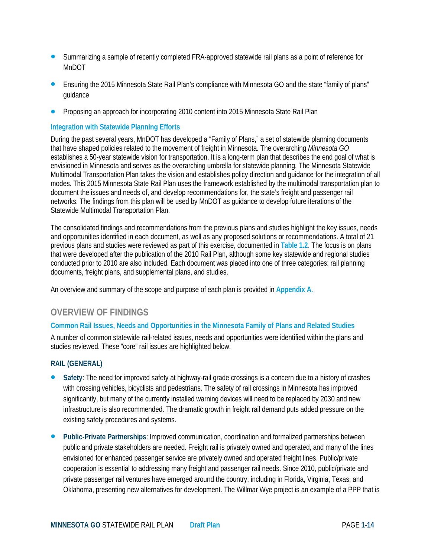- Summarizing a sample of recently completed FRA-approved statewide rail plans as a point of reference for MnDOT
- Ensuring the 2015 Minnesota State Rail Plan's compliance with Minnesota GO and the state "family of plans" guidance
- Proposing an approach for incorporating 2010 content into 2015 Minnesota State Rail Plan

#### **Integration with Statewide Planning Efforts**

During the past several years, MnDOT has developed a "Family of Plans," a set of statewide planning documents that have shaped policies related to the movement of freight in Minnesota. The overarching *Minnesota GO*  establishes a 50-year statewide vision for transportation. It is a long-term plan that describes the end goal of what is envisioned in Minnesota and serves as the overarching umbrella for statewide planning. The Minnesota Statewide Multimodal Transportation Plan takes the vision and establishes policy direction and guidance for the integration of all modes. This 2015 Minnesota State Rail Plan uses the framework established by the multimodal transportation plan to document the issues and needs of, and develop recommendations for, the state's freight and passenger rail networks. The findings from this plan will be used by MnDOT as guidance to develop future iterations of the Statewide Multimodal Transportation Plan.

The consolidated findings and recommendations from the previous plans and studies highlight the key issues, needs and opportunities identified in each document, as well as any proposed solutions or recommendations. A total of 21 previous plans and studies were reviewed as part of this exercise, documented in **Table 1.2**. The focus is on plans that were developed after the publication of the 2010 Rail Plan, although some key statewide and regional studies conducted prior to 2010 are also included. Each document was placed into one of three categories: rail planning documents, freight plans, and supplemental plans, and studies.

An overview and summary of the scope and purpose of each plan is provided in **Appendix A**.

### **OVERVIEW OF FINDINGS**

#### **Common Rail Issues, Needs and Opportunities in the Minnesota Family of Plans and Related Studies**

A number of common statewide rail-related issues, needs and opportunities were identified within the plans and studies reviewed. These "core" rail issues are highlighted below.

#### **RAIL (GENERAL)**

- **Safety**: The need for improved safety at highway-rail grade crossings is a concern due to a history of crashes with crossing vehicles, bicyclists and pedestrians. The safety of rail crossings in Minnesota has improved significantly, but many of the currently installed warning devices will need to be replaced by 2030 and new infrastructure is also recommended. The dramatic growth in freight rail demand puts added pressure on the existing safety procedures and systems.
- **Public-Private Partnerships**: Improved communication, coordination and formalized partnerships between public and private stakeholders are needed. Freight rail is privately owned and operated, and many of the lines envisioned for enhanced passenger service are privately owned and operated freight lines. Public/private cooperation is essential to addressing many freight and passenger rail needs. Since 2010, public/private and private passenger rail ventures have emerged around the country, including in Florida, Virginia, Texas, and Oklahoma, presenting new alternatives for development. The Willmar Wye project is an example of a PPP that is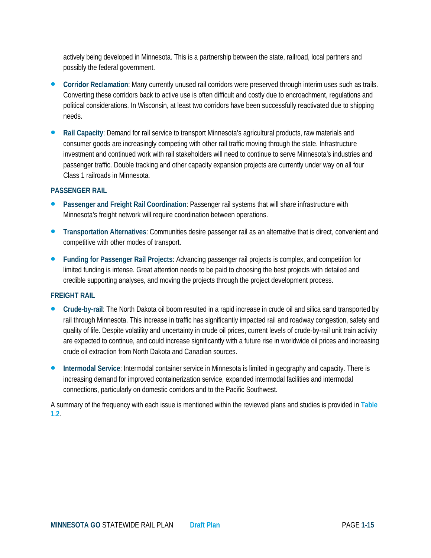actively being developed in Minnesota. This is a partnership between the state, railroad, local partners and possibly the federal government.

- **Corridor Reclamation**: Many currently unused rail corridors were preserved through interim uses such as trails. Converting these corridors back to active use is often difficult and costly due to encroachment, regulations and political considerations. In Wisconsin, at least two corridors have been successfully reactivated due to shipping needs.
- **Rail Capacity**: Demand for rail service to transport Minnesota's agricultural products, raw materials and consumer goods are increasingly competing with other rail traffic moving through the state. Infrastructure investment and continued work with rail stakeholders will need to continue to serve Minnesota's industries and passenger traffic. Double tracking and other capacity expansion projects are currently under way on all four Class 1 railroads in Minnesota.

#### **PASSENGER RAIL**

- **Passenger and Freight Rail Coordination**: Passenger rail systems that will share infrastructure with Minnesota's freight network will require coordination between operations.
- **Transportation Alternatives: Communities desire passenger rail as an alternative that is direct, convenient and** competitive with other modes of transport.
- **Funding for Passenger Rail Projects**: Advancing passenger rail projects is complex, and competition for limited funding is intense. Great attention needs to be paid to choosing the best projects with detailed and credible supporting analyses, and moving the projects through the project development process.

#### **FREIGHT RAIL**

- **Crude-by-rail**: The North Dakota oil boom resulted in a rapid increase in crude oil and silica sand transported by rail through Minnesota. This increase in traffic has significantly impacted rail and roadway congestion, safety and quality of life. Despite volatility and uncertainty in crude oil prices, current levels of crude-by-rail unit train activity are expected to continue, and could increase significantly with a future rise in worldwide oil prices and increasing crude oil extraction from North Dakota and Canadian sources.
- **Intermodal Service**: Intermodal container service in Minnesota is limited in geography and capacity. There is increasing demand for improved containerization service, expanded intermodal facilities and intermodal connections, particularly on domestic corridors and to the Pacific Southwest.

A summary of the frequency with each issue is mentioned within the reviewed plans and studies is provided in **Table 1.2**.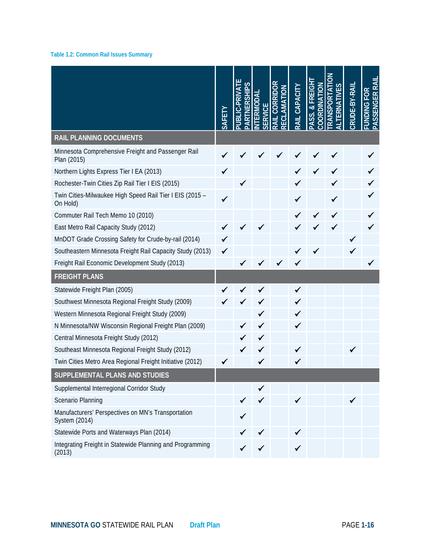#### **Table 1.2: Common Rail Issues Summary**

|                                                                            | SAFETY | <b>TAVIRL-DISTC</b><br>RTNERSHIP | ERMODA<br><b>RVICE</b> | <b>CORRIDOR</b><br>AMATION<br><b>LIRS</b> | CAPACITY<br>RAIL | ASS. & FREIGH<br>ORDINATION | RANSPORTAT<br>ERNATIVES | RUDE-BY-RAIL | $\approx$<br>FOR<br><b>ENGER</b><br><b>UNDING</b><br>ASSE |
|----------------------------------------------------------------------------|--------|----------------------------------|------------------------|-------------------------------------------|------------------|-----------------------------|-------------------------|--------------|-----------------------------------------------------------|
| RAIL PLANNING DOCUMENTS                                                    |        |                                  |                        |                                           |                  |                             |                         |              |                                                           |
| Minnesota Comprehensive Freight and Passenger Rail<br>Plan (2015)          |        |                                  |                        |                                           |                  |                             |                         |              |                                                           |
| Northern Lights Express Tier I EA (2013)                                   |        |                                  |                        |                                           |                  |                             |                         |              |                                                           |
| Rochester-Twin Cities Zip Rail Tier I EIS (2015)                           |        |                                  |                        |                                           |                  |                             |                         |              |                                                           |
| Twin Cities-Milwaukee High Speed Rail Tier I EIS (2015 -<br>On Hold)       |        |                                  |                        |                                           |                  |                             |                         |              |                                                           |
| Commuter Rail Tech Memo 10 (2010)                                          |        |                                  |                        |                                           |                  |                             |                         |              |                                                           |
| East Metro Rail Capacity Study (2012)                                      |        |                                  |                        |                                           |                  |                             |                         |              |                                                           |
| MnDOT Grade Crossing Safety for Crude-by-rail (2014)                       |        |                                  |                        |                                           |                  |                             |                         |              |                                                           |
| Southeastern Minnesota Freight Rail Capacity Study (2013)                  |        |                                  |                        |                                           |                  |                             |                         |              |                                                           |
| Freight Rail Economic Development Study (2013)                             |        |                                  |                        |                                           |                  |                             |                         |              | ✓                                                         |
| <b>FREIGHT PLANS</b>                                                       |        |                                  |                        |                                           |                  |                             |                         |              |                                                           |
| Statewide Freight Plan (2005)                                              |        |                                  |                        |                                           |                  |                             |                         |              |                                                           |
| Southwest Minnesota Regional Freight Study (2009)                          |        |                                  |                        |                                           |                  |                             |                         |              |                                                           |
| Western Minnesota Regional Freight Study (2009)                            |        |                                  |                        |                                           |                  |                             |                         |              |                                                           |
| N Minnesota/NW Wisconsin Regional Freight Plan (2009)                      |        |                                  |                        |                                           |                  |                             |                         |              |                                                           |
| Central Minnesota Freight Study (2012)                                     |        |                                  |                        |                                           |                  |                             |                         |              |                                                           |
| Southeast Minnesota Regional Freight Study (2012)                          |        |                                  |                        |                                           |                  |                             |                         |              |                                                           |
| Twin Cities Metro Area Regional Freight Initiative (2012)                  |        |                                  |                        |                                           |                  |                             |                         |              |                                                           |
| SUPPLEMENTAL PLANS AND STUDIES                                             |        |                                  |                        |                                           |                  |                             |                         |              |                                                           |
| Supplemental Interregional Corridor Study                                  |        |                                  |                        |                                           |                  |                             |                         |              |                                                           |
| Scenario Planning                                                          |        |                                  |                        |                                           | $\checkmark$     |                             |                         |              |                                                           |
| Manufacturers' Perspectives on MN's Transportation<br><b>System (2014)</b> |        |                                  |                        |                                           |                  |                             |                         |              |                                                           |
| Statewide Ports and Waterways Plan (2014)                                  |        |                                  |                        |                                           |                  |                             |                         |              |                                                           |
| Integrating Freight in Statewide Planning and Programming<br>(2013)        |        |                                  |                        |                                           | ✓                |                             |                         |              |                                                           |